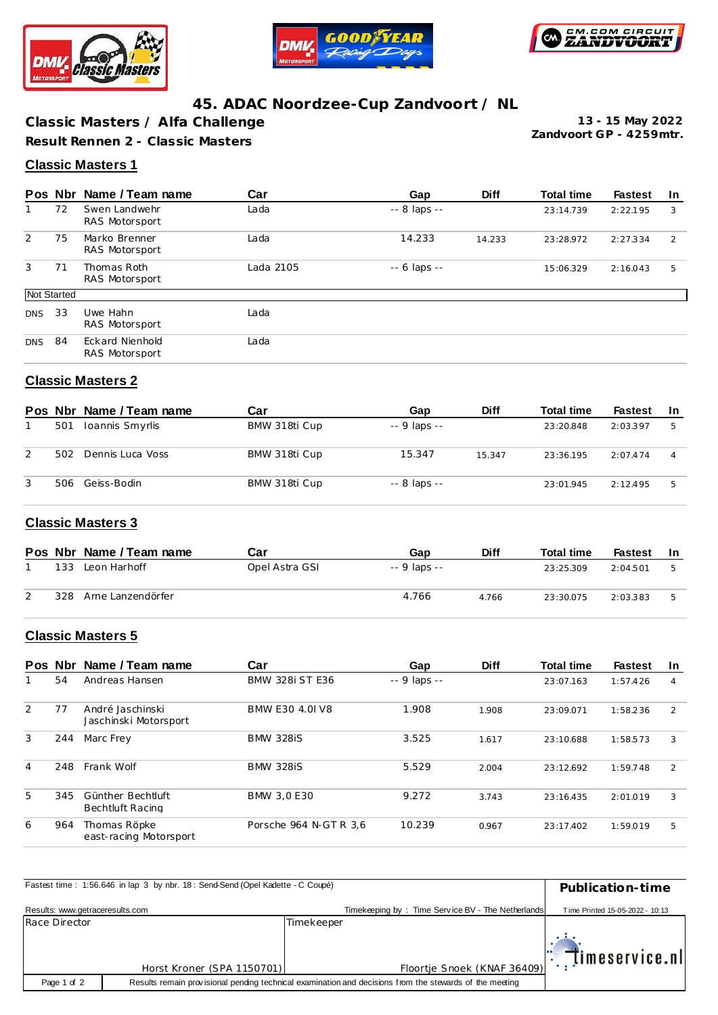





# **45. ADAC Noordzee-Cup Zandvoort / NL**

**Classic Masters / Alfa Challenge Result Rennen 2 - Classic Masters**

**Zandvoort GP - 4259mtr. 13 - 15 May 2022**

#### **Classic Masters 1**

|             |    | Pos Nbr Name / Team name                 | Car       | Gap                | <b>Diff</b> | <b>Total time</b> | <b>Fastest</b> | <u>In</u> |
|-------------|----|------------------------------------------|-----------|--------------------|-------------|-------------------|----------------|-----------|
|             | 72 | Swen Landwehr<br>RAS Motorsport          | Lada      | $-8$ laps $-$      |             | 23:14.739         | 2:22.195       | 3         |
| 2           | 75 | Marko Brenner<br>RAS Motorsport          | Lada      | 14.233             | 14.233      | 23:28.972         | 2:27.334       | 2         |
| 3           | 71 | Thomas Roth<br>RAS Motorsport            | Lada 2105 | $- - 6$ laps $- -$ |             | 15:06.329         | 2:16.043       | 5         |
| Not Started |    |                                          |           |                    |             |                   |                |           |
| <b>DNS</b>  | 33 | Uwe Hahn<br>RAS Motorsport               | Lada      |                    |             |                   |                |           |
| <b>DNS</b>  | 84 | <b>Eckard Nienhold</b><br>RAS Motorsport | Lada      |                    |             |                   |                |           |

### **Classic Masters 2**

|   |     | Pos Nbr Name / Team name | Car           | Gap           | <b>Diff</b> | <b>Total time</b> | <b>Fastest</b> | -In |
|---|-----|--------------------------|---------------|---------------|-------------|-------------------|----------------|-----|
|   | 501 | Ioannis Smyrlis          | BMW 318ti Cup | $-9$ laps $-$ |             | 23:20.848         | 2:03.397       | 5   |
| 2 | 502 | Dennis Luca Voss         | BMW 318ti Cup | 15.347        | 15.347      | 23:36.195         | 2:07.474       |     |
| 3 | 506 | Geiss-Bodin              | BMW 318ti Cup | $-8$ laps $-$ |             | 23:01.945         | 2:12.495       | 5   |

#### **Classic Masters 3**

|     | Pos Nbr Name / Team name | Car            | Gap          | <b>Diff</b> | <b>Total time</b> | Fastest  | -In |
|-----|--------------------------|----------------|--------------|-------------|-------------------|----------|-----|
| 133 | Leon Harhoff             | Opel Astra GSI | -- 9 laps -- |             | 23:25.309         | 2:04.501 |     |
| 328 | Arne Lanzendörfer        |                | 4.766        | 4.766       | 23:30.075         | 2:03.383 |     |

## **Classic Masters 5**

|   |     | Pos Nbr Name / Team name                     | Car                    | Gap          | <b>Diff</b> | <b>Total time</b> | <b>Fastest</b> | <u>In</u>      |
|---|-----|----------------------------------------------|------------------------|--------------|-------------|-------------------|----------------|----------------|
|   | 54  | Andreas Hansen                               | <b>BMW 328i ST E36</b> | -- 9 laps -- |             | 23:07.163         | 1:57.426       | $\overline{4}$ |
| 2 | 77  | André Jaschinski<br>Jaschinski Motorsport    | BMW E30 4.0 V8         | 1.908        | 1.908       | 23:09.071         | 1:58.236       | 2              |
| 3 | 244 | Marc Frey                                    | <b>BMW 328iS</b>       | 3.525        | 1.617       | 23:10.688         | 1:58.573       | 3              |
| 4 | 248 | Frank Wolf                                   | <b>BMW 328iS</b>       | 5.529        | 2.004       | 23:12.692         | 1:59.748       | $\mathcal{P}$  |
| 5 | 345 | Günther Bechtluft<br><b>Bechtluft Racing</b> | BMW 3.0 E30            | 9.272        | 3.743       | 23:16.435         | 2:01.019       | 3              |
| 6 | 964 | Thomas Röpke<br>east-racing Motorsport       | Porsche 964 N-GT R 3.6 | 10.239       | 0.967       | 23:17.402         | 1:59.019       | 5              |

|                                 | Fastest time: 1:56.646 in lap 3 by nbr. 18: Send-Send (Opel Kadette - C Coupé) |            |                                                                                                         | Publication-time                |
|---------------------------------|--------------------------------------------------------------------------------|------------|---------------------------------------------------------------------------------------------------------|---------------------------------|
|                                 |                                                                                |            |                                                                                                         |                                 |
| Results: www.getraceresults.com |                                                                                |            | Timekeeping by: Time Service BV - The Netherlands                                                       | Time Printed 15-05-2022 - 10:13 |
| Race Director                   |                                                                                | Timekeeper |                                                                                                         |                                 |
|                                 |                                                                                |            |                                                                                                         | $\mathbb{R}$ . Timeservice nl   |
|                                 | Horst Kroner (SPA 1150701)                                                     |            | Floortje Snoek (KNAF 36409)                                                                             |                                 |
| Page 1 of 2                     |                                                                                |            | Results remain provisional pending technical examination and decisions from the stewards of the meeting |                                 |